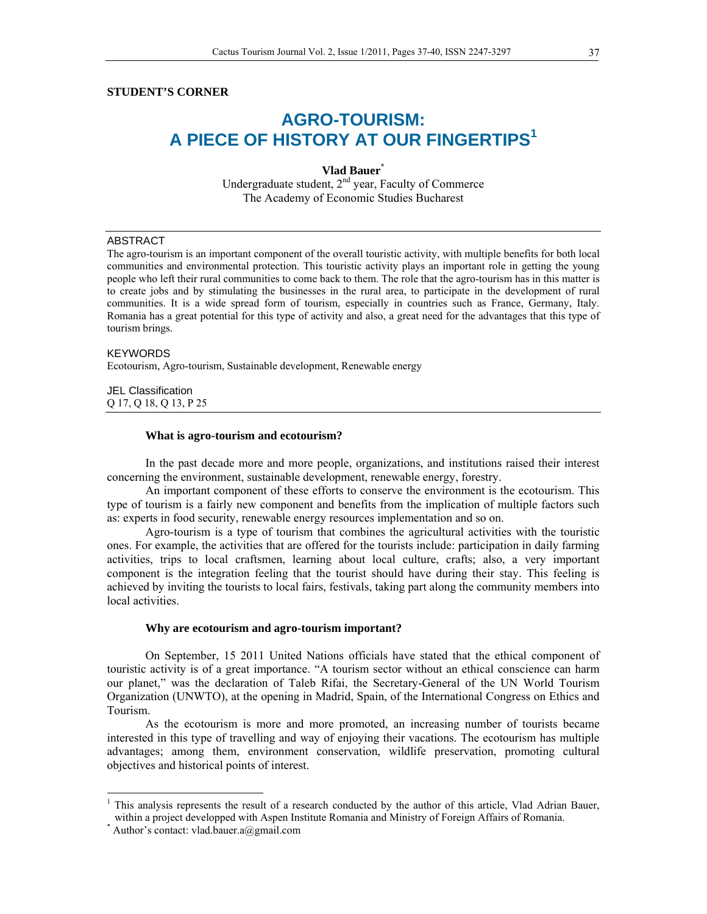# **STUDENT'S CORNER**

# **AGRO-TOURISM: A PIECE OF HISTORY AT OUR FINGERTIPS<sup>1</sup>**

**Vlad Bauer**\* Undergraduate student,  $2<sup>nd</sup>$  year, Faculty of Commerce The Academy of Economic Studies Bucharest

## ABSTRACT

The agro-tourism is an important component of the overall touristic activity, with multiple benefits for both local communities and environmental protection. This touristic activity plays an important role in getting the young people who left their rural communities to come back to them. The role that the agro-tourism has in this matter is to create jobs and by stimulating the businesses in the rural area, to participate in the development of rural communities. It is a wide spread form of tourism, especially in countries such as France, Germany, Italy. Romania has a great potential for this type of activity and also, a great need for the advantages that this type of tourism brings.

#### KEYWORDS

Ecotourism, Agro-tourism, Sustainable development, Renewable energy

JEL Classification Q 17, Q 18, Q 13, P 25

#### **What is agro-tourism and ecotourism?**

In the past decade more and more people, organizations, and institutions raised their interest concerning the environment, sustainable development, renewable energy, forestry.

An important component of these efforts to conserve the environment is the ecotourism. This type of tourism is a fairly new component and benefits from the implication of multiple factors such as: experts in food security, renewable energy resources implementation and so on.

Agro-tourism is a type of tourism that combines the agricultural activities with the touristic ones. For example, the activities that are offered for the tourists include: participation in daily farming activities, trips to local craftsmen, learning about local culture, crafts; also, a very important component is the integration feeling that the tourist should have during their stay. This feeling is achieved by inviting the tourists to local fairs, festivals, taking part along the community members into local activities.

## **Why are ecotourism and agro-tourism important?**

On September, 15 2011 United Nations officials have stated that the ethical component of touristic activity is of a great importance. "A tourism sector without an ethical conscience can harm our planet," was the declaration of Taleb Rifai, the Secretary-General of the UN World Tourism Organization (UNWTO), at the opening in Madrid, Spain, of the International Congress on Ethics and Tourism.

As the ecotourism is more and more promoted, an increasing number of tourists became interested in this type of travelling and way of enjoying their vacations. The ecotourism has multiple advantages; among them, environment conservation, wildlife preservation, promoting cultural objectives and historical points of interest.

<sup>&</sup>lt;sup>1</sup> This analysis represents the result of a research conducted by the author of this article, Vlad Adrian Bauer, within a project developped with Aspen Institute Romania and Ministry of Foreign Affairs of Romania.

Author's contact: vlad.bauer.a@gmail.com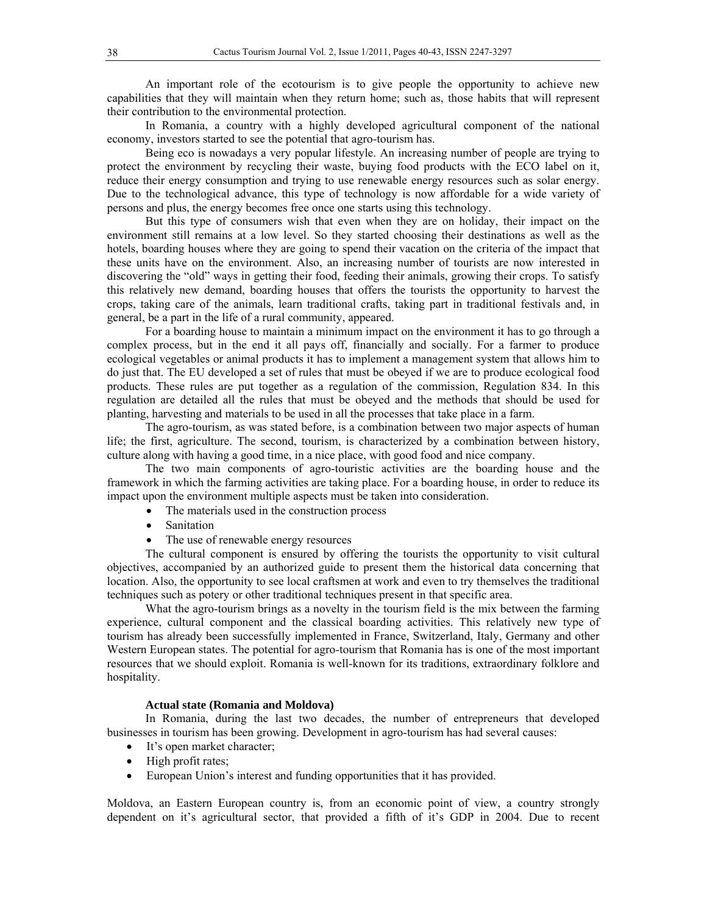An important role of the ecotourism is to give people the opportunity to achieve new capabilities that they will maintain when they return home; such as, those habits that will represent their contribution to the environmental protection.

In Romania, a country with a highly developed agricultural component of the national economy, investors started to see the potential that agro-tourism has.

Being eco is nowadays a very popular lifestyle. An increasing number of people are trying to protect the environment by recycling their waste, buying food products with the ECO label on it, reduce their energy consumption and trying to use renewable energy resources such as solar energy. Due to the technological advance, this type of technology is now affordable for a wide variety of persons and plus, the energy becomes free once one starts using this technology.

But this type of consumers wish that even when they are on holiday, their impact on the environment still remains at a low level. So they started choosing their destinations as well as the hotels, boarding houses where they are going to spend their vacation on the criteria of the impact that these units have on the environment. Also, an increasing number of tourists are now interested in discovering the "old" ways in getting their food, feeding their animals, growing their crops. To satisfy this relatively new demand, boarding houses that offers the tourists the opportunity to harvest the crops, taking care of the animals, learn traditional crafts, taking part in traditional festivals and, in general, be a part in the life of a rural community, appeared.

For a boarding house to maintain a minimum impact on the environment it has to go through a complex process, but in the end it all pays off, financially and socially. For a farmer to produce ecological vegetables or animal products it has to implement a management system that allows him to do just that. The EU developed a set of rules that must be obeyed if we are to produce ecological food products. These rules are put together as a regulation of the commission, Regulation 834. In this regulation are detailed all the rules that must be obeyed and the methods that should be used for planting, harvesting and materials to be used in all the processes that take place in a farm.

The agro-tourism, as was stated before, is a combination between two major aspects of human life; the first, agriculture. The second, tourism, is characterized by a combination between history, culture along with having a good time, in a nice place, with good food and nice company.

The two main components of agro-touristic activities are the boarding house and the framework in which the farming activities are taking place. For a boarding house, in order to reduce its impact upon the environment multiple aspects must be taken into consideration.

- The materials used in the construction process
- Sanitation
- The use of renewable energy resources

The cultural component is ensured by offering the tourists the opportunity to visit cultural objectives, accompanied by an authorized guide to present them the historical data concerning that location. Also, the opportunity to see local craftsmen at work and even to try themselves the traditional techniques such as potery or other traditional techniques present in that specific area.

What the agro-tourism brings as a novelty in the tourism field is the mix between the farming experience, cultural component and the classical boarding activities. This relatively new type of tourism has already been successfully implemented in France, Switzerland, Italy, Germany and other Western European states. The potential for agro-tourism that Romania has is one of the most important resources that we should exploit. Romania is well-known for its traditions, extraordinary folklore and hospitality.

# **Actual state (Romania and Moldova)**

In Romania, during the last two decades, the number of entrepreneurs that developed businesses in tourism has been growing. Development in agro-tourism has had several causes:

- It's open market character;
- $\bullet$  High profit rates;
- European Union's interest and funding opportunities that it has provided.

Moldova, an Eastern European country is, from an economic point of view, a country strongly dependent on it's agricultural sector, that provided a fifth of it's GDP in 2004. Due to recent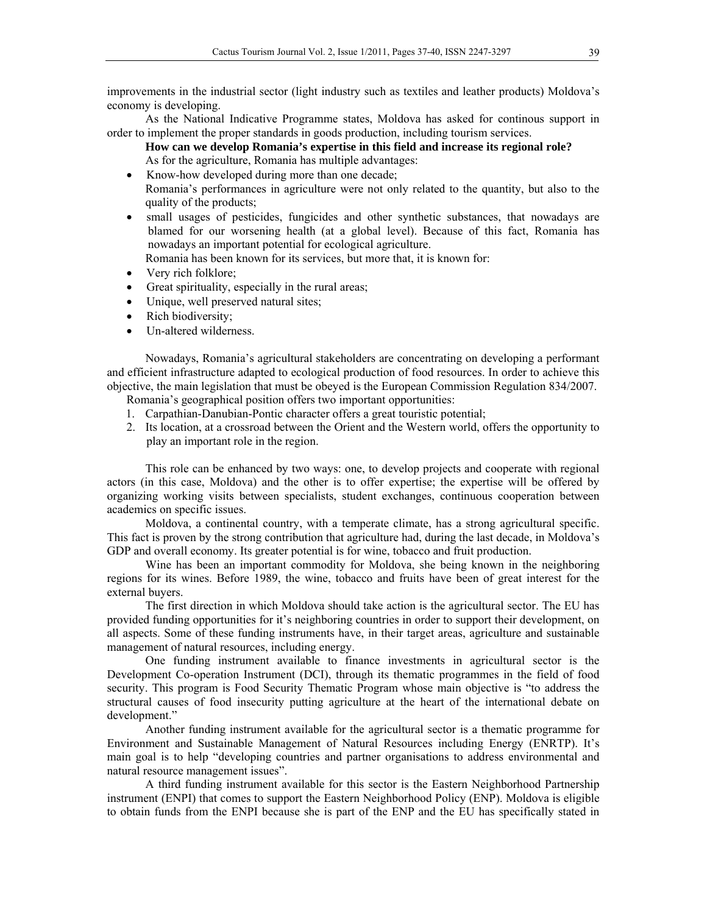improvements in the industrial sector (light industry such as textiles and leather products) Moldova's economy is developing.

As the National Indicative Programme states, Moldova has asked for continous support in order to implement the proper standards in goods production, including tourism services.

- **How can we develop Romania's expertise in this field and increase its regional role?**  As for the agriculture, Romania has multiple advantages:
- Know-how developed during more than one decade;
- Romania's performances in agriculture were not only related to the quantity, but also to the quality of the products;
- small usages of pesticides, fungicides and other synthetic substances, that nowadays are blamed for our worsening health (at a global level). Because of this fact, Romania has nowadays an important potential for ecological agriculture.

Romania has been known for its services, but more that, it is known for:

- Very rich folklore;
- Great spirituality, especially in the rural areas;
- Unique, well preserved natural sites;
- Rich biodiversity;
- Un-altered wilderness.

Nowadays, Romania's agricultural stakeholders are concentrating on developing a performant and efficient infrastructure adapted to ecological production of food resources. In order to achieve this objective, the main legislation that must be obeyed is the European Commission Regulation 834/2007.

Romania's geographical position offers two important opportunities:

- 1. Carpathian-Danubian-Pontic character offers a great touristic potential;
- 2. Its location, at a crossroad between the Orient and the Western world, offers the opportunity to play an important role in the region.

This role can be enhanced by two ways: one, to develop projects and cooperate with regional actors (in this case, Moldova) and the other is to offer expertise; the expertise will be offered by organizing working visits between specialists, student exchanges, continuous cooperation between academics on specific issues.

Moldova, a continental country, with a temperate climate, has a strong agricultural specific. This fact is proven by the strong contribution that agriculture had, during the last decade, in Moldova's GDP and overall economy. Its greater potential is for wine, tobacco and fruit production.

Wine has been an important commodity for Moldova, she being known in the neighboring regions for its wines. Before 1989, the wine, tobacco and fruits have been of great interest for the external buyers.

The first direction in which Moldova should take action is the agricultural sector. The EU has provided funding opportunities for it's neighboring countries in order to support their development, on all aspects. Some of these funding instruments have, in their target areas, agriculture and sustainable management of natural resources, including energy.

One funding instrument available to finance investments in agricultural sector is the Development Co-operation Instrument (DCI), through its thematic programmes in the field of food security. This program is Food Security Thematic Program whose main objective is "to address the structural causes of food insecurity putting agriculture at the heart of the international debate on development."

Another funding instrument available for the agricultural sector is a thematic programme for Environment and Sustainable Management of Natural Resources including Energy (ENRTP). It's main goal is to help "developing countries and partner organisations to address environmental and natural resource management issues".

A third funding instrument available for this sector is the Eastern Neighborhood Partnership instrument (ENPI) that comes to support the Eastern Neighborhood Policy (ENP). Moldova is eligible to obtain funds from the ENPI because she is part of the ENP and the EU has specifically stated in